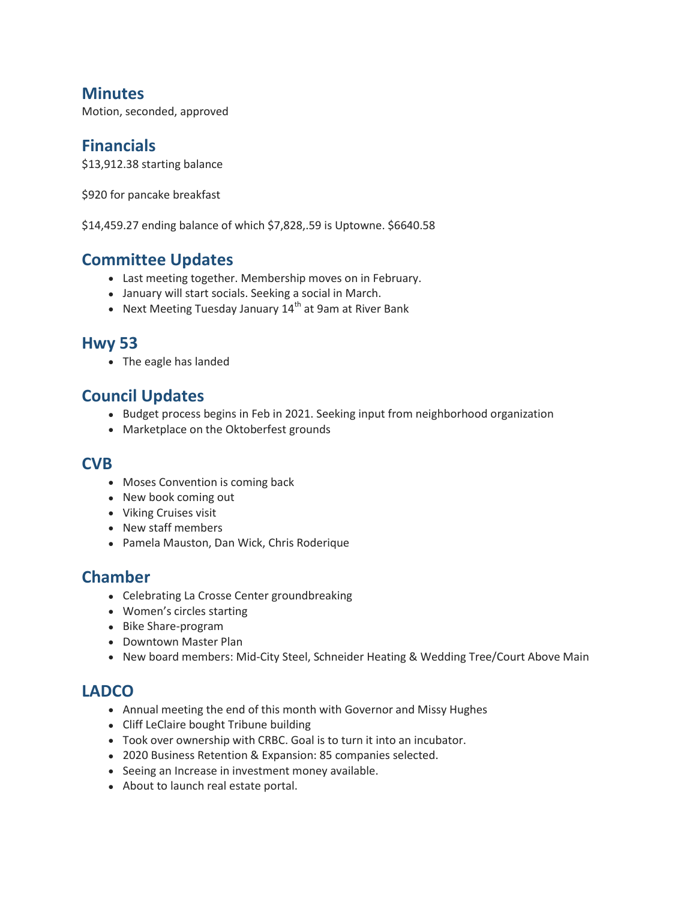## **Minutes**

Motion, seconded, approved

#### **Financials**

\$13,912.38 starting balance

\$920 for pancake breakfast

\$14,459.27 ending balance of which \$7,828,.59 is Uptowne. \$6640.58

### **Committee Updates**

- Last meeting together. Membership moves on in February.
- January will start socials. Seeking a social in March.
- Next Meeting Tuesday January  $14<sup>th</sup>$  at 9am at River Bank

#### **Hwy 53**

• The eagle has landed

#### **Council Updates**

- Budget process begins in Feb in 2021. Seeking input from neighborhood organization
- Marketplace on the Oktoberfest grounds

#### **CVB**

- Moses Convention is coming back
- New book coming out
- Viking Cruises visit
- New staff members
- Pamela Mauston, Dan Wick, Chris Roderique

## **Chamber**

- Celebrating La Crosse Center groundbreaking
- Women's circles starting
- Bike Share-program
- Downtown Master Plan
- New board members: Mid-City Steel, Schneider Heating & Wedding Tree/Court Above Main

#### **LADCO**

- Annual meeting the end of this month with Governor and Missy Hughes
- Cliff LeClaire bought Tribune building
- Took over ownership with CRBC. Goal is to turn it into an incubator.
- 2020 Business Retention & Expansion: 85 companies selected.
- Seeing an Increase in investment money available.
- About to launch real estate portal.